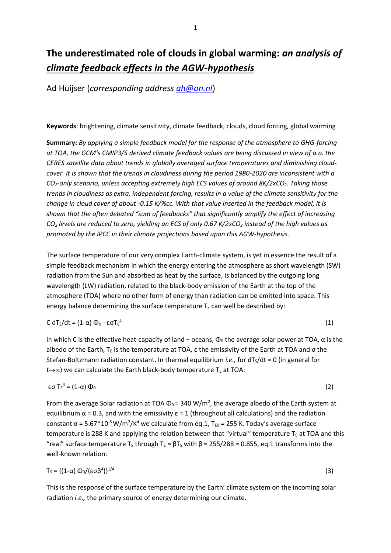# **The underestimated role of clouds in global warming:** *an analysis of climate feedback effects in the AGW-hypothesis*

Ad Huijser (*corresponding address [ah@on.nl](mailto:ah@on.nl)*)

**Keywords**: brightening, climate sensitivity, climate feedback, clouds, cloud forcing, global warming

**Summary:** *By applying a simple feedback model for the response of the atmosphere to GHG-forcing at TOA, the GCM's CMIP3/5 derived climate feedback values are being discussed in view of a.o. the CERES satellite data about trends in globally averaged surface temperatures and diminishing cloudcover. It is shown that the trends in cloudiness during the period 1980-2020 are inconsistent with a CO2-only scenario, unless accepting extremely high ECS values of around 8K/2xCO2. Taking those trends in cloudiness as extra, independent forcing, results in a value of the climate sensitivity for the change in cloud cover of about -0.15 K/%cc. With that value inserted in the feedback model, it is shown that the often debated "sum of feedbacks" that significantly amplify the effect of increasing CO<sup>2</sup> levels are reduced to zero, yielding an ECS of only 0.67 K/2xCO<sup>2</sup> instead of the high values as promoted by the IPCC in their climate projections based upon this AGW-hypothesis.*

The surface temperature of our very complex Earth-climate system, is yet in essence the result of a simple feedback mechanism in which the energy entering the atmosphere as short wavelength (SW) radiation from the Sun and absorbed as heat by the surface, is balanced by the outgoing long wavelength (LW) radiation, related to the black-body emission of the Earth at the top of the atmosphere (TOA) where no other form of energy than radiation can be emitted into space. This energy balance determining the surface temperature  $T<sub>S</sub>$  can well be described by:

# C dT<sub>s</sub>/dt = (1-α)  $\Phi_0$  - εσT<sub>E</sub><sup>4</sup>

in which C is the effective heat-capacity of land + oceans,  $\Phi_0$  the average solar power at TOA,  $\alpha$  is the albedo of the Earth,  $T_E$  is the temperature at TOA,  $\varepsilon$  the emissivity of the Earth at TOA and  $\sigma$  the Stefan-Boltzmann radiation constant. In thermal equilibrium *i.e.*, for dT<sub>s</sub>/dt = 0 (in general for  $t\rightarrow\infty$ ) we can calculate the Earth black-body temperature T<sub>E</sub> at TOA:

(1)

$$
\epsilon \sigma T_{\epsilon}^4 = (1-\alpha) \Phi_0 \tag{2}
$$

From the average Solar radiation at TOA  $\Phi_0$  = 340 W/m<sup>2</sup>, the average albedo of the Earth system at equilibrium  $\alpha$  = 0.3, and with the emissivity  $\epsilon$  = 1 (throughout all calculations) and the radiation constant  $\sigma$  = 5.67\*10<sup>-8</sup> W/m<sup>2</sup>/K<sup>4</sup> we calculate from eq.1, T<sub>E0</sub> = 255 K. Today's average surface temperature is 288 K and applying the relation between that "virtual" temperature  $T_{E}$  at TOA and this "real" surface temperature T<sub>s</sub> through T<sub>E</sub> =  $\beta$ T<sub>s</sub> with  $\beta$  = 255/288 = 0.855, eq.1 transforms into the well-known relation:

$$
T_S = \{ (1-\alpha) \Phi_0 / (\epsilon \sigma \beta^4) \}^{1/4}
$$
 (3)

This is the response of the surface temperature by the Earth' climate system on the incoming solar radiation *i.e.,* the primary source of energy determining our climate.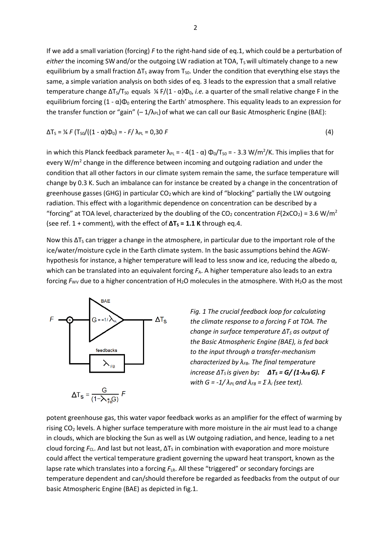If we add a small variation (forcing) *F* to the right-hand side of eq.1, which could be a perturbation of either the incoming SW and/or the outgoing LW radiation at TOA, T<sub>s</sub> will ultimately change to a new equilibrium by a small fraction  $\Delta T_S$  away from T<sub>S0</sub>. Under the condition that everything else stays the same, a simple variation analysis on both sides of eq. 3 leads to the expression that a small relative temperature change  $\Delta T_S/T_{SO}$  equals ¼ F/(1 - α) $\Phi_0$ , *i.e.* a quarter of the small relative change F in the equilibrium forcing  $(1 - \alpha)\Phi_0$  entering the Earth' atmosphere. This equality leads to an expression for the transfer function or "gain"  $(-1/\lambda_{\rm Pl})$  of what we can call our Basic Atmospheric Engine (BAE):

$$
\Delta T_S = \frac{1}{4} F (T_{SO}/((1 - \alpha)\Phi_0) = -F/\lambda_{PL} = 0.30 F
$$
 (4)

in which this Planck feedback parameter  $\lambda_{PL}$  = - 4(1 -  $\alpha$ )  $\Phi_0/T_{S0}$  = - 3.3 W/m<sup>2</sup>/K. This implies that for every W/m<sup>2</sup> change in the difference between incoming and outgoing radiation and under the condition that all other factors in our climate system remain the same, the surface temperature will change by 0.3 K. Such an imbalance can for instance be created by a change in the concentration of greenhouse gasses (GHG) in particular  $CO<sub>2</sub>$  which are kind of "blocking" partially the LW outgoing radiation. This effect with a logarithmic dependence on concentration can be described by a "forcing" at TOA level, characterized by the doubling of the CO<sub>2</sub> concentration  $F(2xCO_2) = 3.6 \text{ W/m}^2$ (see ref.  $1 +$  comment), with the effect of  $\Delta T_s = 1.1$  K through eq.4.

Now this  $\Delta T_S$  can trigger a change in the atmosphere, in particular due to the important role of the ice/water/moisture cycle in the Earth climate system. In the basic assumptions behind the AGWhypothesis for instance, a higher temperature will lead to less snow and ice, reducing the albedo α, which can be translated into an equivalent forcing  $F_A$ . A higher temperature also leads to an extra forcing  $F_{\text{WV}}$  due to a higher concentration of H<sub>2</sub>O molecules in the atmosphere. With H<sub>2</sub>O as the most



*Fig. 1 The crucial feedback loop for calculating the climate response to a forcing F at TOA. The change in surface temperature ∆T<sup>S</sup> as output of the Basic Atmospheric Engine (BAE), is fed back to the input through a transfer-mechanism characterized by λFB. The final temperature increase*  $\Delta T_S$ *is given by:*  $\Delta T_S = G/(1-\lambda_{FB})$ . F *with G =*  $-1/\lambda_{PL}$  *and*  $\lambda_{FB} = \Sigma \lambda_i$  *(see text).* 

potent greenhouse gas, this water vapor feedback works as an amplifier for the effect of warming by rising CO<sub>2</sub> levels. A higher surface temperature with more moisture in the air must lead to a change in clouds, which are blocking the Sun as well as LW outgoing radiation, and hence, leading to a net cloud forcing *F*<sub>CL</sub>. And last but not least, ΔT<sub>S</sub> in combination with evaporation and more moisture could affect the vertical temperature gradient governing the upward heat transport, known as the lapse rate which translates into a forcing  $F_{LR}$ . All these "triggered" or secondary forcings are temperature dependent and can/should therefore be regarded as feedbacks from the output of our basic Atmospheric Engine (BAE) as depicted in fig.1.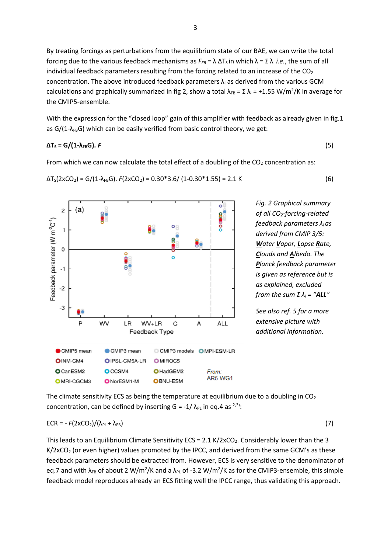3

By treating forcings as perturbations from the equilibrium state of our BAE, we can write the total forcing due to the various feedback mechanisms as  $F_{FB} = \lambda \Delta T_S$  in which  $\lambda = \Sigma \lambda_i$  *i.e.*, the sum of all individual feedback parameters resulting from the forcing related to an increase of the  $CO<sub>2</sub>$ concentration. The above introduced feedback parameters  $\lambda_i$  as derived from the various GCM calculations and graphically summarized in fig 2, show a total  $\lambda_{FB} = \Sigma \lambda_i = +1.55 \text{ W/m}^2/\text{K}$  in average for the CMIP5-ensemble.

With the expression for the "closed loop" gain of this amplifier with feedback as already given in fig.1 as  $G/(1-\lambda_{FB}G)$  which can be easily verified from basic control theory, we get:

### $\Delta$ **T**<sub>S</sub> = G/(1- $\lambda$ <sub>FB</sub>G). *F* (5)

From which we can now calculate the total effect of a doubling of the  $CO<sub>2</sub>$  concentration as:

$$
\Delta T_S(2xCO_2) = G/(1-\lambda_{FB}G). F(2xCO_2) = 0.30*3.6/(1-0.30*1.55) = 2.1 K
$$
 (6)



*See also ref. 5 for a more extensive picture with additional information.*

The climate sensitivity ECS as being the temperature at equilibrium due to a doubling in  $CO<sub>2</sub>$ concentration, can be defined by inserting  $G = -1/\lambda_{PL}$  in eq.4 as  $^{2,3)}$ :

$$
ECR = -F(2xCO2)/(\lambda_{PL} + \lambda_{FB})
$$
 (7)

This leads to an Equilibrium Climate Sensitivity ECS =  $2.1$  K/ $2xCO<sub>2</sub>$ . Considerably lower than the 3  $K/2xCO<sub>2</sub>$  (or even higher) values promoted by the IPCC, and derived from the same GCM's as these feedback parameters should be extracted from. However, ECS is very sensitive to the denominator of eq.7 and with  $\lambda_{FB}$  of about 2 W/m<sup>2</sup>/K and a  $\lambda_{PL}$  of -3.2 W/m<sup>2</sup>/K as for the CMIP3-ensemble, this simple feedback model reproduces already an ECS fitting well the IPCC range, thus validating this approach.

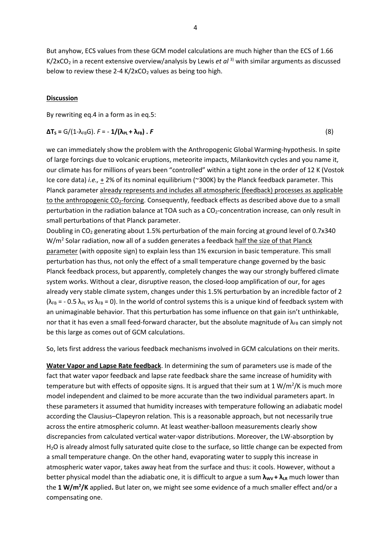But anyhow, ECS values from these GCM model calculations are much higher than the ECS of 1.66 K/2xCO<sub>2</sub> in a recent extensive overview/analysis by Lewis *et al* <sup>3)</sup> with similar arguments as discussed below to review these 2-4 K/2xCO<sub>2</sub> values as being too high.

# **Discussion**

By rewriting eq.4 in a form as in eq.5:

$$
\Delta T_{s} = G/(1-\lambda_{FB}G). \ F = -1/(\lambda_{PL} + \lambda_{FB}). \ F
$$
 (8)

we can immediately show the problem with the Anthropogenic Global Warming-hypothesis. In spite of large forcings due to volcanic eruptions, meteorite impacts, Milankovitch cycles and you name it, our climate has for millions of years been "controlled" within a tight zone in the order of 12 K (Vostok Ice core data) *i.e.,* + 2% of its nominal equilibrium (~300K) by the Planck feedback parameter. This Planck parameter already represents and includes all atmospheric (feedback) processes as applicable to the anthropogenic CO<sub>2</sub>-forcing. Consequently, feedback effects as described above due to a small perturbation in the radiation balance at TOA such as a CO<sub>2</sub>-concentration increase, can only result in small perturbations of that Planck parameter.

Doubling in CO<sub>2</sub> generating about 1.5% perturbation of the main forcing at ground level of 0.7x340 W/m<sup>2</sup> Solar radiation, now all of a sudden generates a feedback half the size of that Planck parameter (with opposite sign) to explain less than 1% excursion in basic temperature. This small perturbation has thus, not only the effect of a small temperature change governed by the basic Planck feedback process, but apparently, completely changes the way our strongly buffered climate system works. Without a clear, disruptive reason, the closed-loop amplification of our, for ages already very stable climate system, changes under this 1.5% perturbation by an incredible factor of 2  $(\lambda_{FB} = -0.5 \lambda_{PL}$  *vs*  $\lambda_{FB} = 0)$ . In the world of control systems this is a unique kind of feedback system with an unimaginable behavior. That this perturbation has some influence on that gain isn't unthinkable, nor that it has even a small feed-forward character, but the absolute magnitude of  $\lambda_{FB}$  can simply not be this large as comes out of GCM calculations.

So, lets first address the various feedback mechanisms involved in GCM calculations on their merits.

**Water Vapor and Lapse Rate feedback**. In determining the sum of parameters use is made of the fact that water vapor feedback and lapse rate feedback share the same increase of humidity with temperature but with effects of opposite signs. It is argued that their sum at 1 W/m<sup>2</sup>/K is much more model independent and claimed to be more accurate than the two individual parameters apart. In these parameters it assumed that humidity increases with temperature following an adiabatic model according the Clausius–Clapeyron relation. This is a reasonable approach, but not necessarily true across the entire atmospheric column. At least weather-balloon measurements clearly show discrepancies from calculated vertical water-vapor distributions. Moreover, the LW-absorption by H2O is already almost fully saturated quite close to the surface, so little change can be expected from a small temperature change. On the other hand, evaporating water to supply this increase in atmospheric water vapor, takes away heat from the surface and thus: it cools. However, without a better physical model than the adiabatic one, it is difficult to argue a sum  $λ_{WV}$  +  $λ_{LR}$  much lower than the **1 W/m<sup>2</sup> /K** applied**.** But later on, we might see some evidence of a much smaller effect and/or a compensating one.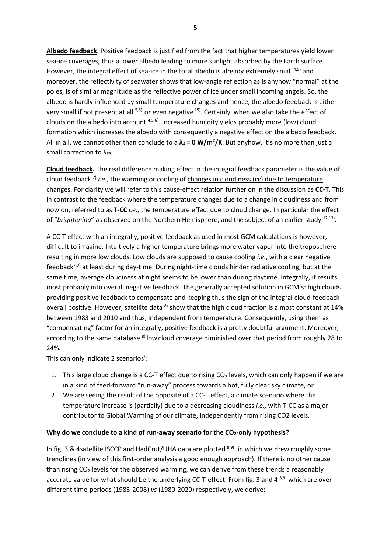**Albedo feedback**. Positive feedback is justified from the fact that higher temperatures yield lower sea-ice coverages, thus a lower albedo leading to more sunlight absorbed by the Earth surface. However, the integral effect of sea-ice in the total albedo is already extremely small 4,5) and moreover, the reflectivity of seawater shows that low-angle reflection as is anyhow "normal" at the poles, is of similar magnitude as the reflective power of ice under small incoming angels. So, the albedo is hardly influenced by small temperature changes and hence, the albedo feedback is either very small if not present at all <sup>5,6)</sup>, or even negative <sup>15)</sup>. Certainly, when we also take the effect of clouds on the albedo into account <sup>4,5,6)</sup>. Increased humidity yields probably more (low) cloud formation which increases the albedo with consequently a negative effect on the albedo feedback. All in all, we cannot other than conclude to a **λA = 0 W/m<sup>2</sup> /K**. But anyhow, it's no more than just a small correction to  $\lambda_{FB}$ .

**Cloud feedback.** The real difference making effect in the integral feedback parameter is the value of cloud feedback 7) *i.e.*, the warming or cooling of changes in cloudiness (cc) due to temperature changes. For clarity we will refer to this cause-effect relation further on in the discussion as **CC-T**. This in contrast to the feedback where the temperature changes due to a change in cloudiness and from now on, referred to as **T-CC** *i.e*., the temperature effect due to cloud change. In particular the effect of "brightening" as observed on the Northern Hemisphere, and the subject of an earlier study <sup>12,13)</sup>.

A CC-T effect with an integrally, positive feedback as used in most GCM calculations is however, difficult to imagine. Intuitively a higher temperature brings more water vapor into the troposphere resulting in more low clouds. Low clouds are supposed to cause cooling *i.e.*, with a clear negative feedback<sup>7,9)</sup> at least during day-time. During night-time clouds hinder radiative cooling, but at the same time, average cloudiness at night seems to be lower than during daytime. Integrally, it results most probably into overall negative feedback. The generally accepted solution in GCM's: high clouds providing positive feedback to compensate and keeping thus the sign of the integral cloud-feedback overall positive. However, satellite data <sup>8)</sup> show that the high cloud fraction is almost constant at 14% between 1983 and 2010 and thus, independent from temperature. Consequently, using them as "compensating" factor for an integrally, positive feedback is a pretty doubtful argument. Moreover, according to the same database <sup>8)</sup> low cloud coverage diminished over that period from roughly 28 to 24%.

This can only indicate 2 scenarios':

- 1. This large cloud change is a CC-T effect due to rising  $CO<sub>2</sub>$  levels, which can only happen if we are in a kind of feed-forward "run-away" process towards a hot, fully clear sky climate, or
- 2. We are seeing the result of the opposite of a CC-T effect, a climate scenario where the temperature increase is (partially) due to a decreasing cloudiness *i.e.,* with T-CC as a major contributor to Global Warming of our climate, independently from rising CO2 levels.

### **Why do we conclude to a kind of run-away scenario for the CO2-only hypothesis?**

In fig. 3 & 4satellite ISCCP and HadCrut/UHA data are plotted <sup>8,9)</sup>, in which we drew roughly some trendlines (in view of this first-order analysis a good enough approach). If there is no other cause than rising  $CO<sub>2</sub>$  levels for the observed warming, we can derive from these trends a reasonably accurate value for what should be the underlying CC-T-effect. From fig. 3 and 4 8,9) which are over different time-periods (1983-2008) *vs* (1980-2020) respectively, we derive: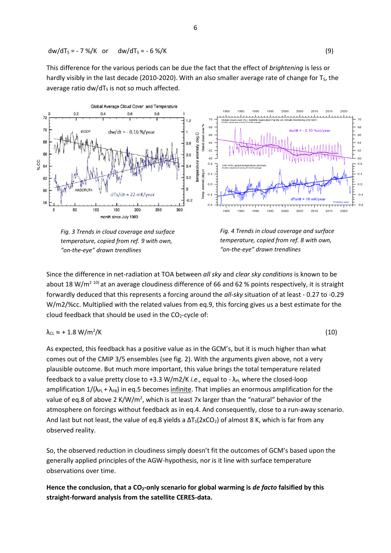$$
dw/dT_s = -7\% / K
$$
 or  $dw/dT_s = -6\% / K$  (9)

This difference for the various periods can be due the fact that the effect of *brightening* is less or hardly visibly in the last decade (2010-2020). With an also smaller average rate of change for  $T<sub>s</sub>$ , the average ratio dw/d $T<sub>S</sub>$  is not so much affected.



*Fig. 3 Trends in cloud coverage and surface temperature, copied from ref. 9 with own, "on-the-eye" drawn trendlines*

*Fig. 4 Trends in cloud coverage and surface temperature, copied from ref. 8 with own, "on-the-eye" drawn trendlines*

Since the difference in net-radiation at TOA between *all sky* and *clear sky conditions* is known to be about 18 W/m<sup>2 10)</sup> at an average cloudiness difference of 66 and 62 % points respectively, it is straight forwardly deduced that this represents a forcing around the *all-sky* situation of at least - 0.27 to -0.29 W/m2/%cc. Multiplied with the related values from eq.9, this forcing gives us a best estimate for the cloud feedback that should be used in the  $CO<sub>2</sub>$ -cycle of:

$$
\lambda_{\text{CL}} \approx +1.8 \text{ W/m}^2/\text{K} \tag{10}
$$

As expected, this feedback has a positive value as in the GCM's, but it is much higher than what comes out of the CMIP 3/5 ensembles (see fig. 2). With the arguments given above, not a very plausible outcome. But much more important, this value brings the total temperature related feedback to a value pretty close to +3.3 W/m2/K *i.e.*, equal to -  $\lambda_{PL}$  where the closed-loop amplification  $1/(\lambda_{PL} + \lambda_{FB})$  in eq.5 becomes infinite. That implies an enormous amplification for the value of eq.8 of above 2 K/W/m<sup>2</sup>, which is at least 7x larger than the "natural" behavior of the atmosphere on forcings without feedback as in eq.4. And consequently, close to a run-away scenario. And last but not least, the value of eq.8 yields a  $\Delta T_S(2xCO_2)$  of almost 8 K, which is far from any observed reality.

So, the observed reduction in cloudiness simply doesn't fit the outcomes of GCM's based upon the generally applied principles of the AGW-hypothesis, nor is it line with surface temperature observations over time.

**Hence the conclusion, that a CO2-only scenario for global warming is** *de facto* **falsified by this straight-forward analysis from the satellite CERES-data.**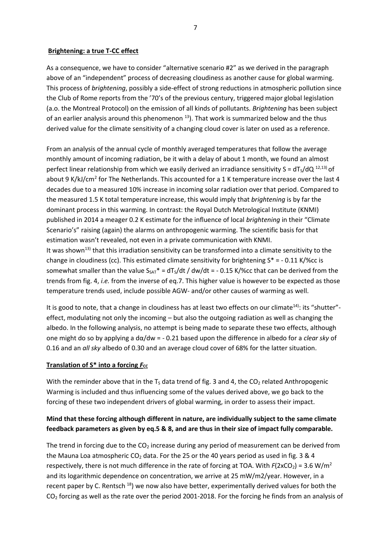### **Brightening: a true T-CC effect**

As a consequence, we have to consider "alternative scenario #2" as we derived in the paragraph above of an "independent" process of decreasing cloudiness as another cause for global warming. This process of *brightening*, possibly a side-effect of strong reductions in atmospheric pollution since the Club of Rome reports from the '70's of the previous century, triggered major global legislation (a.o. the Montreal Protocol) on the emission of all kinds of pollutants. *Brightening* has been subject of an earlier analysis around this phenomenon  $^{13}$ ). That work is summarized below and the thus derived value for the climate sensitivity of a changing cloud cover is later on used as a reference.

From an analysis of the annual cycle of monthly averaged temperatures that follow the average monthly amount of incoming radiation, be it with a delay of about 1 month, we found an almost perfect linear relationship from which we easily derived an irradiance sensitivity S =  $dT_S/dQ^{12,13}$  of about 9 K/kJ/cm<sup>2</sup> for The Netherlands. This accounted for a 1 K temperature increase over the last 4 decades due to a measured 10% increase in incoming solar radiation over that period. Compared to the measured 1.5 K total temperature increase, this would imply that *brightening* is by far the dominant process in this warming. In contrast: the Royal Dutch Metrological Institute (KNMI) published in 2014 a meager 0.2 K estimate for the influence of local *brightening* in their "Climate Scenario's" raising (again) the alarms on anthropogenic warming. The scientific basis for that estimation wasn't revealed, not even in a private communication with KNMI. It was shown<sup>13)</sup> that this irradiation sensitivity can be transformed into a climate sensitivity to the change in cloudiness (cc). This estimated climate sensitivity for brightening  $S^* = -0.11$  K/%cc is somewhat smaller than the value  $S_{SAT}^* = dT_S/dt / dw/dt = -0.15 K/$ %cc that can be derived from the trends from fig. 4, *i.e.* from the inverse of eq.7. This higher value is however to be expected as those temperature trends used, include possible AGW- and/or other causes of warming as well.

It is good to note, that a change in cloudiness has at least two effects on our climate<sup>14)</sup>: its "shutter"effect, modulating not only the incoming – but also the outgoing radiation as well as changing the albedo. In the following analysis, no attempt is being made to separate these two effects, although one might do so by applying a dα/dw = - 0.21 based upon the difference in albedo for a *clear sky* of 0.16 and an *all sky* albedo of 0.30 and an average cloud cover of 68% for the latter situation.

# **Translation of S\* into a forcing Fcc**

With the reminder above that in the  $T_S$  data trend of fig. 3 and 4, the CO<sub>2</sub> related Anthropogenic Warming is included and thus influencing some of the values derived above, we go back to the forcing of these two independent drivers of global warming, in order to assess their impact.

# **Mind that these forcing although different in nature, are individually subject to the same climate feedback parameters as given by eq.5 & 8, and are thus in their size of impact fully comparable.**

The trend in forcing due to the  $CO<sub>2</sub>$  increase during any period of measurement can be derived from the Mauna Loa atmospheric CO<sub>2</sub> data. For the 25 or the 40 years period as used in fig. 3 & 4 respectively, there is not much difference in the rate of forcing at TOA. With  $F(2xCO<sub>2</sub>) = 3.6$  W/m<sup>2</sup> and its logarithmic dependence on concentration, we arrive at 25 mW/m2/year. However, in a recent paper by C. Rentsch<sup>18</sup>) we now also have better, experimentally derived values for both the  $CO<sub>2</sub>$  forcing as well as the rate over the period 2001-2018. For the forcing he finds from an analysis of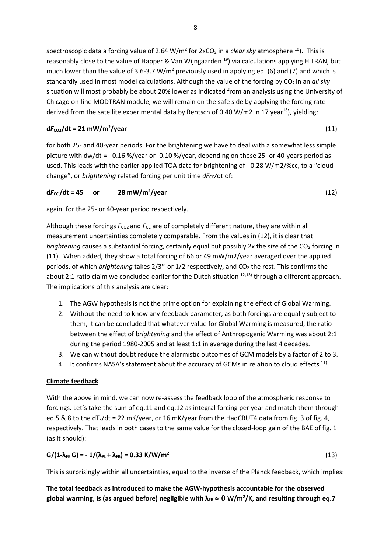spectroscopic data a forcing value of 2.64 W/m<sup>2</sup> for 2xCO<sub>2</sub> in a *clear sky* atmosphere <sup>18</sup>). This is reasonably close to the value of Happer & Van Wijngaarden<sup>19</sup>) via calculations applying HiTRAN, but much lower than the value of 3.6-3.7 W/m<sup>2</sup> previously used in applying eq. (6) and (7) and which is standardly used in most model calculations. Although the value of the forcing by CO<sub>2</sub> in an all sky situation will most probably be about 20% lower as indicated from an analysis using the University of Chicago on-line MODTRAN module, we will remain on the safe side by applying the forcing rate derived from the satellite experimental data by Rentsch of 0.40 W/m2 in 17 year<sup>18</sup>), yielding:

#### $dF_{CO2}/dt = 21$  mW/m<sup>2</sup>/year **/year** (11)

for both 25- and 40-year periods. For the brightening we have to deal with a somewhat less simple picture with dw/dt = - 0.16 %/year or -0.10 %/year, depending on these 25- or 40-years period as used. This leads with the earlier applied TOA data for brightening of - 0.28 W/m2/%cc, to a "cloud change", or *brightening* related forcing per unit time  $dF_{CC}/dt$  of:

#### $dF_{cc}$  /dt = 45 **or 28 mW/m<sup>2</sup>/year /year** (12)

again, for the 25- or 40-year period respectively.

Although these forcings  $F_{CO2}$  and  $F_{CC}$  are of completely different nature, they are within all measurement uncertainties completely comparable. From the values in (12), it is clear that *brightening* causes a substantial forcing, certainly equal but possibly 2x the size of the CO<sub>2</sub> forcing in (11). When added, they show a total forcing of 66 or 49 mW/m2/year averaged over the applied periods, of which *brightening* takes 2/3rd or 1/2 respectively, and CO<sup>2</sup> the rest. This confirms the about 2:1 ratio claim we concluded earlier for the Dutch situation <sup>12,13)</sup> through a different approach. The implications of this analysis are clear:

- 1. The AGW hypothesis is not the prime option for explaining the effect of Global Warming.
- 2. Without the need to know any feedback parameter, as both forcings are equally subject to them, it can be concluded that whatever value for Global Warming is measured, the ratio between the effect of b*rightening* and the effect of Anthropogenic Warming was about 2:1 during the period 1980-2005 and at least 1:1 in average during the last 4 decades.
- 3. We can without doubt reduce the alarmistic outcomes of GCM models by a factor of 2 to 3.
- 4. It confirms NASA's statement about the accuracy of GCMs in relation to cloud effects  $^{11)}$ .

# **Climate feedback**

With the above in mind, we can now re-assess the feedback loop of the atmospheric response to forcings. Let's take the sum of eq.11 and eq.12 as integral forcing per year and match them through eq.5 & 8 to the  $dT<sub>s</sub>/dt = 22$  mK/year, or 16 mK/year from the HadCRUT4 data from fig. 3 of fig. 4, respectively. That leads in both cases to the same value for the closed-loop gain of the BAE of fig. 1 (as it should):

# $G/(1-\lambda_{FB} G) = -1/(\lambda_{PL} + \lambda_{FB}) = 0.33$  **K/W/m<sup>2</sup>**

(13)

This is surprisingly within all uncertainties, equal to the inverse of the Planck feedback, which implies:

**The total feedback as introduced to make the AGW-hypothesis accountable for the observed global warming, is (as argued before) negligible with λFB W/m<sup>2</sup> /K, and resulting through eq.7**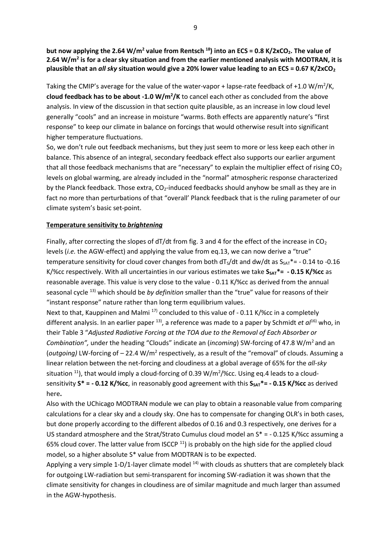**but now applying the 2.64 W/m<sup>2</sup> value from Rentsch <sup>18</sup>) into an ECS = 0.8 K/2xCO2. The value of 2.64 W/m<sup>2</sup> is for a clear sky situation and from the earlier mentioned analysis with MODTRAN, it is plausible that an** *all sky* **situation would give a 20% lower value leading to an ECS = 0.67 K/2xCO<sup>2</sup>**

Taking the CMIP's average for the value of the water-vapor + lapse-rate feedback of +1.0 W/m<sup>2</sup>/K, **cloud feedback has to be about -1.0 W/m<sup>2</sup> /K** to cancel each other as concluded from the above analysis. In view of the discussion in that section quite plausible, as an increase in low cloud level generally "cools" and an increase in moisture "warms. Both effects are apparently nature's "first response" to keep our climate in balance on forcings that would otherwise result into significant higher temperature fluctuations.

So, we don't rule out feedback mechanisms, but they just seem to more or less keep each other in balance. This absence of an integral, secondary feedback effect also supports our earlier argument that all those feedback mechanisms that are "necessary" to explain the multiplier effect of rising  $CO<sub>2</sub>$ levels on global warming, are already included in the "normal" atmospheric response characterized by the Planck feedback. Those extra,  $CO<sub>2</sub>$ -induced feedbacks should anyhow be small as they are in fact no more than perturbations of that "overall' Planck feedback that is the ruling parameter of our climate system's basic set-point.

### **Temperature sensitivity to** *brightening*

Finally, after correcting the slopes of dT/dt from fig. 3 and 4 for the effect of the increase in  $CO<sub>2</sub>$ levels (*i.e.* the AGW-effect) and applying the value from eq.13, we can now derive a "true" temperature sensitivity for cloud cover changes from both  $dT<sub>s</sub>/dt$  and dw/dt as  $S<sub>SA</sub><sup>*</sup> = -0.14$  to -0.16 K/%cc respectively. With all uncertainties in our various estimates we take  $S_{SAT}^* = -0.15$  K/%cc as reasonable average. This value is very close to the value - 0.11 K/%cc as derived from the annual seasonal cycle 13) which should be *by definition* smaller than the "true" value for reasons of their "instant response" nature rather than long term equilibrium values.

Next to that, Kauppinen and Malmi  $^{17}$  concluded to this value of - 0.11 K/%cc in a completely different analysis. In an earlier paper <sup>13)</sup>, a reference was made to a paper by Schmidt *et al*<sup>16)</sup> who, in their Table 3 "*Adjusted Radiative Forcing at the TOA due to the Removal of Each Absorber or Combination",* under the heading "Clouds" indicate an (*incoming*) SW-forcing of 47.8 W/m<sup>2</sup> and an (outgoing) LW-forcing of - 22.4 W/m<sup>2</sup> respectively, as a result of the "removal" of clouds. Assuming a linear relation between the net-forcing and cloudiness at a global average of 65% for the *all-sky* situation  $^{11}$ ), that would imply a cloud-forcing of 0.39 W/m<sup>2</sup>/%cc. Using eq.4 leads to a cloudsensitivity  $S^* = -0.12 K$ /%cc, in reasonably good agreement with this  $S_{SAT}^* = -0.15 K$ /%cc as derived here**.**

Also with the UChicago MODTRAN module we can play to obtain a reasonable value from comparing calculations for a clear sky and a cloudy sky. One has to compensate for changing OLR's in both cases, but done properly according to the different albedos of 0.16 and 0.3 respectively, one derives for a US standard atmosphere and the Strat/Strato Cumulus cloud model an S\* = - 0.125 K/%cc assuming a 65% cloud cover. The latter value from ISCCP  $^{11}$ ) is probably on the high side for the applied cloud model, so a higher absolute S\* value from MODTRAN is to be expected.

Applying a very simple 1-D/1-layer climate model  $^{14}$ ) with clouds as shutters that are completely black for outgoing LW-radiation but semi-transparent for incoming SW-radiation it was shown that the climate sensitivity for changes in cloudiness are of similar magnitude and much larger than assumed in the AGW-hypothesis.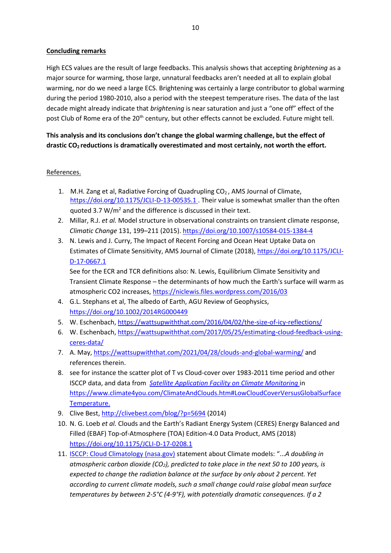# **Concluding remarks**

High ECS values are the result of large feedbacks. This analysis shows that accepting *brightening* as a major source for warming, those large, unnatural feedbacks aren't needed at all to explain global warming, nor do we need a large ECS. Brightening was certainly a large contributor to global warming during the period 1980-2010, also a period with the steepest temperature rises. The data of the last decade might already indicate that *brightening* is near saturation and just a "one off" effect of the post Club of Rome era of the 20<sup>th</sup> century, but other effects cannot be excluded. Future might tell.

**This analysis and its conclusions don't change the global warming challenge, but the effect of drastic CO2 reductions is dramatically overestimated and most certainly, not worth the effort.**

# References.

- 1. M.H. Zang et al, Radiative Forcing of Quadrupling CO<sub>2</sub>, AMS Journal of Climate, [https://doi.org/10.1175/JCLI-D-13-00535.1 .](https://doi.org/10.1175/JCLI-D-13-00535.1) Their value is somewhat smaller than the often quoted 3.7 W/ $m^2$  and the difference is discussed in their text.
- 2. Millar, R.J. *et al.* Model structure in observational constraints on transient climate response, *Climatic Change* 131, 199–211 (2015)[. https://doi.org/10.1007/s10584-015-1384-4](https://doi.org/10.1007/s10584-015-1384-4)
- 3. N. Lewis and J. Curry, The Impact of Recent Forcing and Ocean Heat Uptake Data on Estimates of Climate Sensitivity, AMS Journal of Climate (2018), [https://doi.org/10.1175/JCLI-](https://doi.org/10.1175/JCLI-D-17-0667.1)[D-17-0667.1](https://doi.org/10.1175/JCLI-D-17-0667.1)

See for the ECR and TCR definitions also: N. Lewis, Equilibrium Climate Sensitivity and Transient Climate Response – the determinants of how much the Earth's surface will warm as atmospheric CO2 increases[, https://niclewis.files.wordpress.com/2016/03](https://niclewis.files.wordpress.com/2016/03)

- 4. G.L. Stephans et al, The albedo of Earth, AGU Review of Geophysics, <https://doi.org/10.1002/2014RG000449>
- 5. W. Eschenbach[, https://wattsupwiththat.com/2016/04/02/the-size-of-icy-reflections/](https://wattsupwiththat.com/2016/04/02/the-size-of-icy-reflections/)
- 6. W. Eschenbach[, https://wattsupwiththat.com/2017/05/25/estimating-cloud-feedback-using](https://wattsupwiththat.com/2017/05/25/estimating-cloud-feedback-using-ceres-data/)[ceres-data/](https://wattsupwiththat.com/2017/05/25/estimating-cloud-feedback-using-ceres-data/)
- 7. A. May,<https://wattsupwiththat.com/2021/04/28/clouds-and-global-warming/> and references therein.
- 8. see for instance the scatter plot of T vs Cloud-cover over 1983-2011 time period and other ISCCP data, and data from *[Satellite Application Facility on Climate Monitoring](https://www.eumetsat.int/about-us/satellite-application-facilities-safs)* in [https://www.climate4you.com/ClimateAndClouds.htm#LowCloudCoverVersusGlobalSurface](https://www.climate4you.com/ClimateAndClouds.htm#LowCloudCoverVersusGlobalSurfaceTemperature.) [Temperature.](https://www.climate4you.com/ClimateAndClouds.htm#LowCloudCoverVersusGlobalSurfaceTemperature.)
- 9. Clive Best,<http://clivebest.com/blog/?p=5694> (2014)
- 10. N. G. Loeb *et al.* Clouds and the Earth's Radiant Energy System (CERES) Energy Balanced and Filled (EBAF) Top-of-Atmosphere (TOA) Edition-4.0 Data Product, AMS (2018) <https://doi.org/10.1175/JCLI-D-17-0208.1>
- 11. [ISCCP: Cloud Climatology \(nasa.gov\)](https://isccp.giss.nasa.gov/role.html) statement about Climate models: "...*A doubling in atmospheric carbon dioxide (CO2), predicted to take place in the next 50 to 100 years, is expected to change the radiation balance at the surface by only about 2 percent. Yet according to current climate models, such a small change could raise global mean surface temperatures by between 2-5°C (4-9°F), with potentially dramatic consequences. If a 2*